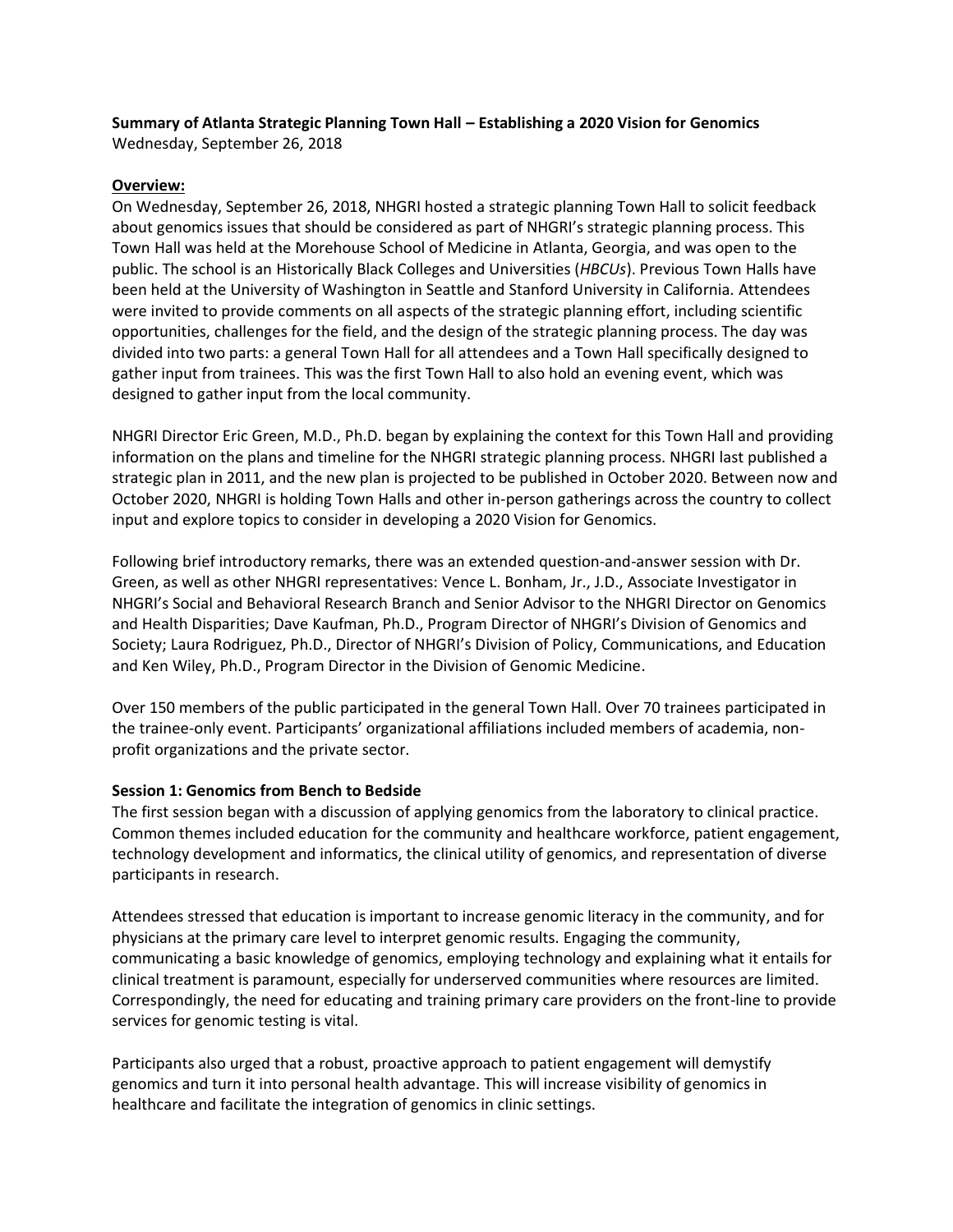# **Summary of Atlanta Strategic Planning Town Hall – Establishing a 2020 Vision for Genomics**

Wednesday, September 26, 2018

### **Overview:**

On Wednesday, September 26, 2018, NHGRI hosted a strategic planning Town Hall to solicit feedback about genomics issues that should be considered as part of NHGRI's strategic planning process. This Town Hall was held at the Morehouse School of Medicine in Atlanta, Georgia, and was open to the public. The school is an Historically Black Colleges and Universities (*HBCUs*). Previous Town Halls have been held at the University of Washington in Seattle and Stanford University in California. Attendees were invited to provide comments on all aspects of the strategic planning effort, including scientific opportunities, challenges for the field, and the design of the strategic planning process. The day was divided into two parts: a general Town Hall for all attendees and a Town Hall specifically designed to gather input from trainees. This was the first Town Hall to also hold an evening event, which was designed to gather input from the local community.

NHGRI Director Eric Green, M.D., Ph.D. began by explaining the context for this Town Hall and providing information on the plans and timeline for the NHGRI strategic planning process. NHGRI last published a strategic plan in 2011, and the new plan is projected to be published in October 2020. Between now and October 2020, NHGRI is holding Town Halls and other in-person gatherings across the country to collect input and explore topics to consider in developing a 2020 Vision for Genomics.

Following brief introductory remarks, there was an extended question-and-answer session with Dr. Green, as well as other NHGRI representatives: Vence L. Bonham, Jr., J.D., Associate Investigator in NHGRI's Social and Behavioral Research Branch and Senior Advisor to the NHGRI Director on Genomics and Health Disparities; Dave Kaufman, Ph.D., Program Director of NHGRI's Division of Genomics and Society; Laura Rodriguez, Ph.D., Director of NHGRI's Division of Policy, Communications, and Education and Ken Wiley, Ph.D., Program Director in the Division of Genomic Medicine.

Over 150 members of the public participated in the general Town Hall. Over 70 trainees participated in the trainee-only event. Participants' organizational affiliations included members of academia, nonprofit organizations and the private sector.

## **Session 1: Genomics from Bench to Bedside**

The first session began with a discussion of applying genomics from the laboratory to clinical practice. Common themes included education for the community and healthcare workforce, patient engagement, technology development and informatics, the clinical utility of genomics, and representation of diverse participants in research.

Attendees stressed that education is important to increase genomic literacy in the community, and for physicians at the primary care level to interpret genomic results. Engaging the community, communicating a basic knowledge of genomics, employing technology and explaining what it entails for clinical treatment is paramount, especially for underserved communities where resources are limited. Correspondingly, the need for educating and training primary care providers on the front-line to provide services for genomic testing is vital.

Participants also urged that a robust, proactive approach to patient engagement will demystify genomics and turn it into personal health advantage. This will increase visibility of genomics in healthcare and facilitate the integration of genomics in clinic settings.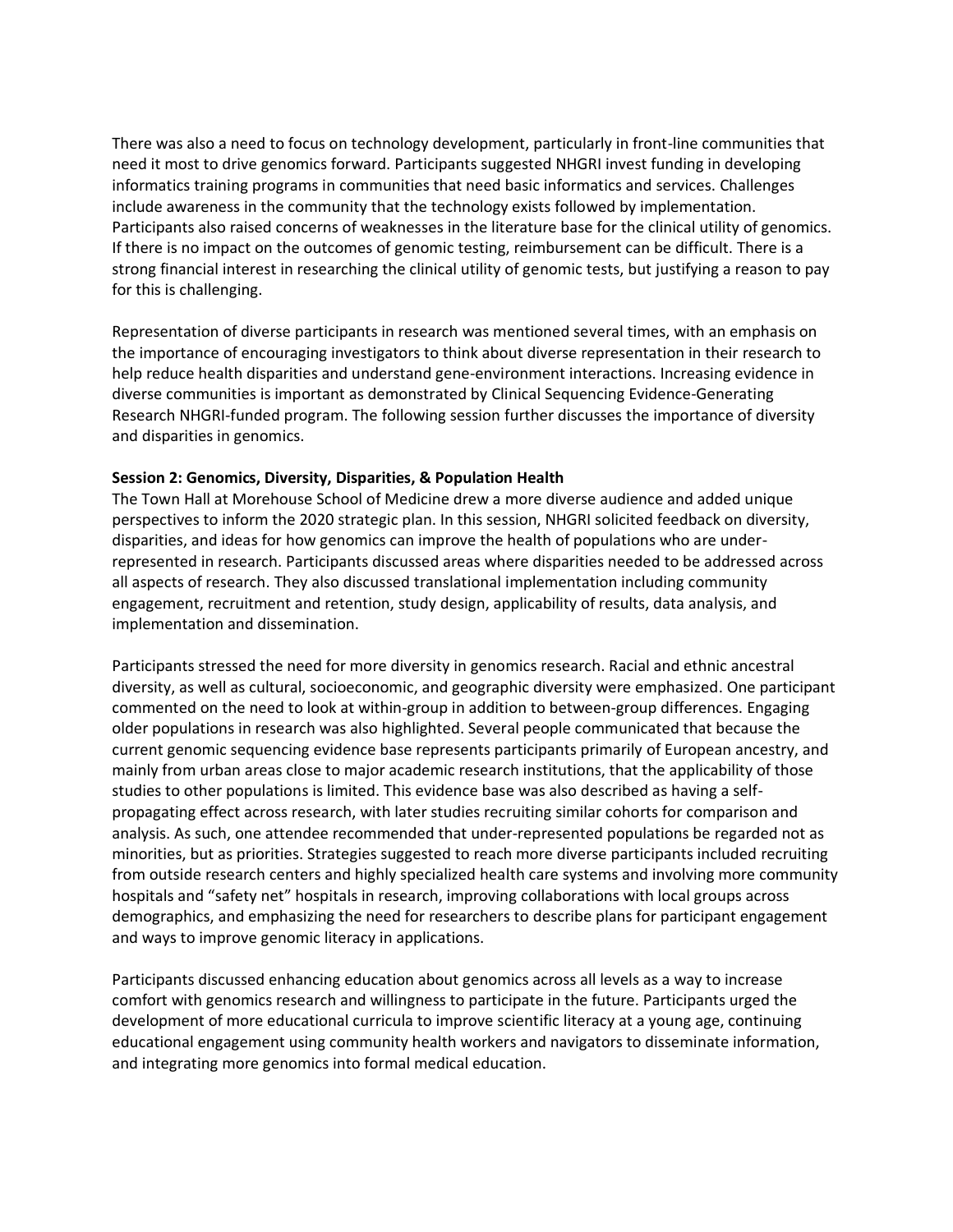There was also a need to focus on technology development, particularly in front-line communities that need it most to drive genomics forward. Participants suggested NHGRI invest funding in developing informatics training programs in communities that need basic informatics and services. Challenges include awareness in the community that the technology exists followed by implementation. Participants also raised concerns of weaknesses in the literature base for the clinical utility of genomics. If there is no impact on the outcomes of genomic testing, reimbursement can be difficult. There is a strong financial interest in researching the clinical utility of genomic tests, but justifying a reason to pay for this is challenging.

Representation of diverse participants in research was mentioned several times, with an emphasis on the importance of encouraging investigators to think about diverse representation in their research to help reduce health disparities and understand gene-environment interactions. Increasing evidence in diverse communities is important as demonstrated by Clinical Sequencing Evidence-Generating Research NHGRI-funded program. The following session further discusses the importance of diversity and disparities in genomics.

#### **Session 2: Genomics, Diversity, Disparities, & Population Health**

The Town Hall at Morehouse School of Medicine drew a more diverse audience and added unique perspectives to inform the 2020 strategic plan. In this session, NHGRI solicited feedback on diversity, disparities, and ideas for how genomics can improve the health of populations who are underrepresented in research. Participants discussed areas where disparities needed to be addressed across all aspects of research. They also discussed translational implementation including community engagement, recruitment and retention, study design, applicability of results, data analysis, and implementation and dissemination.

Participants stressed the need for more diversity in genomics research. Racial and ethnic ancestral diversity, as well as cultural, socioeconomic, and geographic diversity were emphasized. One participant commented on the need to look at within-group in addition to between-group differences. Engaging older populations in research was also highlighted. Several people communicated that because the current genomic sequencing evidence base represents participants primarily of European ancestry, and mainly from urban areas close to major academic research institutions, that the applicability of those studies to other populations is limited. This evidence base was also described as having a selfpropagating effect across research, with later studies recruiting similar cohorts for comparison and analysis. As such, one attendee recommended that under-represented populations be regarded not as minorities, but as priorities. Strategies suggested to reach more diverse participants included recruiting from outside research centers and highly specialized health care systems and involving more community hospitals and "safety net" hospitals in research, improving collaborations with local groups across demographics, and emphasizing the need for researchers to describe plans for participant engagement and ways to improve genomic literacy in applications.

Participants discussed enhancing education about genomics across all levels as a way to increase comfort with genomics research and willingness to participate in the future. Participants urged the development of more educational curricula to improve scientific literacy at a young age, continuing educational engagement using community health workers and navigators to disseminate information, and integrating more genomics into formal medical education.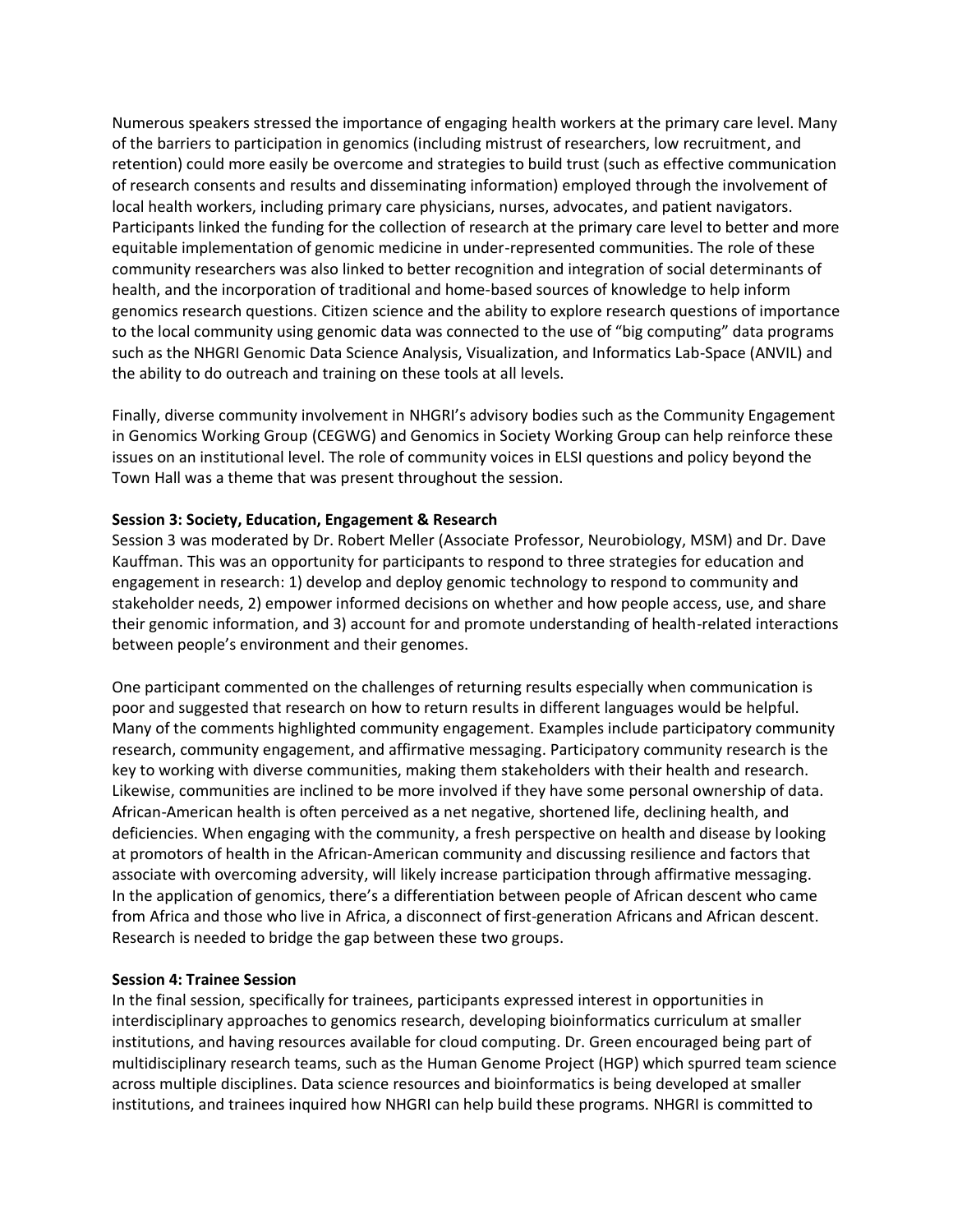Numerous speakers stressed the importance of engaging health workers at the primary care level. Many of the barriers to participation in genomics (including mistrust of researchers, low recruitment, and retention) could more easily be overcome and strategies to build trust (such as effective communication of research consents and results and disseminating information) employed through the involvement of local health workers, including primary care physicians, nurses, advocates, and patient navigators. Participants linked the funding for the collection of research at the primary care level to better and more equitable implementation of genomic medicine in under-represented communities. The role of these community researchers was also linked to better recognition and integration of social determinants of health, and the incorporation of traditional and home-based sources of knowledge to help inform genomics research questions. Citizen science and the ability to explore research questions of importance to the local community using genomic data was connected to the use of "big computing" data programs such as the NHGRI Genomic Data Science Analysis, Visualization, and Informatics Lab-Space (ANVIL) and the ability to do outreach and training on these tools at all levels.

Finally, diverse community involvement in NHGRI's advisory bodies such as the Community Engagement in Genomics Working Group (CEGWG) and Genomics in Society Working Group can help reinforce these issues on an institutional level. The role of community voices in ELSI questions and policy beyond the Town Hall was a theme that was present throughout the session.

#### **Session 3: Society, Education, Engagement & Research**

Session 3 was moderated by Dr. Robert Meller (Associate Professor, Neurobiology, MSM) and Dr. Dave Kauffman. This was an opportunity for participants to respond to three strategies for education and engagement in research: 1) develop and deploy genomic technology to respond to community and stakeholder needs, 2) empower informed decisions on whether and how people access, use, and share their genomic information, and 3) account for and promote understanding of health-related interactions between people's environment and their genomes.

One participant commented on the challenges of returning results especially when communication is poor and suggested that research on how to return results in different languages would be helpful. Many of the comments highlighted community engagement. Examples include participatory community research, community engagement, and affirmative messaging. Participatory community research is the key to working with diverse communities, making them stakeholders with their health and research. Likewise, communities are inclined to be more involved if they have some personal ownership of data. African-American health is often perceived as a net negative, shortened life, declining health, and deficiencies. When engaging with the community, a fresh perspective on health and disease by looking at promotors of health in the African-American community and discussing resilience and factors that associate with overcoming adversity, will likely increase participation through affirmative messaging. In the application of genomics, there's a differentiation between people of African descent who came from Africa and those who live in Africa, a disconnect of first-generation Africans and African descent. Research is needed to bridge the gap between these two groups.

#### **Session 4: Trainee Session**

In the final session, specifically for trainees, participants expressed interest in opportunities in interdisciplinary approaches to genomics research, developing bioinformatics curriculum at smaller institutions, and having resources available for cloud computing. Dr. Green encouraged being part of multidisciplinary research teams, such as the Human Genome Project (HGP) which spurred team science across multiple disciplines. Data science resources and bioinformatics is being developed at smaller institutions, and trainees inquired how NHGRI can help build these programs. NHGRI is committed to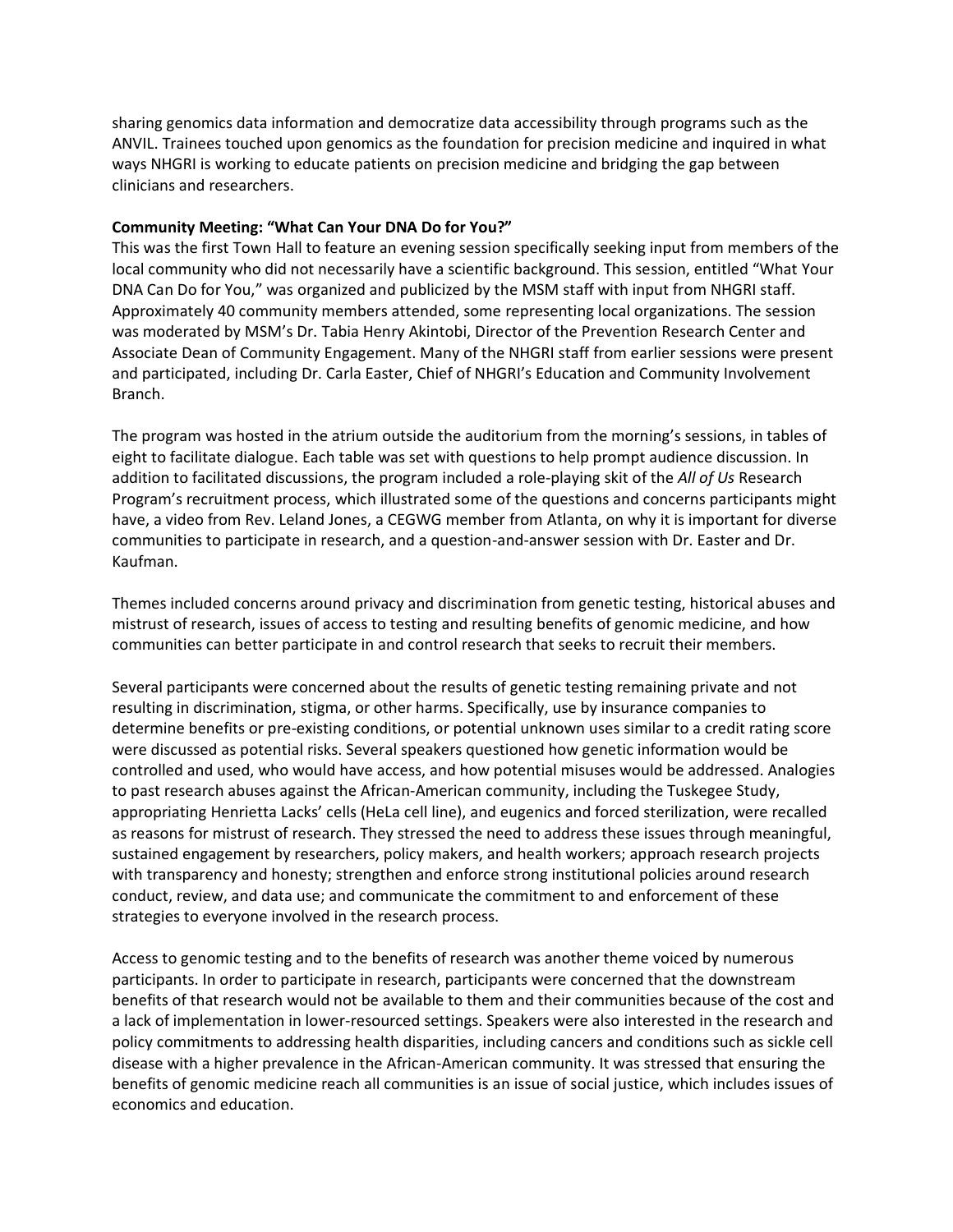sharing genomics data information and democratize data accessibility through programs such as the ANVIL. Trainees touched upon genomics as the foundation for precision medicine and inquired in what ways NHGRI is working to educate patients on precision medicine and bridging the gap between clinicians and researchers.

#### **Community Meeting: "What Can Your DNA Do for You?"**

This was the first Town Hall to feature an evening session specifically seeking input from members of the local community who did not necessarily have a scientific background. This session, entitled "What Your DNA Can Do for You," was organized and publicized by the MSM staff with input from NHGRI staff. Approximately 40 community members attended, some representing local organizations. The session was moderated by MSM's Dr. Tabia Henry Akintobi, Director of the Prevention Research Center and Associate Dean of Community Engagement. Many of the NHGRI staff from earlier sessions were present and participated, including Dr. Carla Easter, Chief of NHGRI's Education and Community Involvement Branch.

The program was hosted in the atrium outside the auditorium from the morning's sessions, in tables of eight to facilitate dialogue. Each table was set with questions to help prompt audience discussion. In addition to facilitated discussions, the program included a role-playing skit of the *All of Us* Research Program's recruitment process, which illustrated some of the questions and concerns participants might have, a video from Rev. Leland Jones, a CEGWG member from Atlanta, on why it is important for diverse communities to participate in research, and a question-and-answer session with Dr. Easter and Dr. Kaufman.

Themes included concerns around privacy and discrimination from genetic testing, historical abuses and mistrust of research, issues of access to testing and resulting benefits of genomic medicine, and how communities can better participate in and control research that seeks to recruit their members.

Several participants were concerned about the results of genetic testing remaining private and not resulting in discrimination, stigma, or other harms. Specifically, use by insurance companies to determine benefits or pre-existing conditions, or potential unknown uses similar to a credit rating score were discussed as potential risks. Several speakers questioned how genetic information would be controlled and used, who would have access, and how potential misuses would be addressed. Analogies to past research abuses against the African-American community, including the Tuskegee Study, appropriating Henrietta Lacks' cells (HeLa cell line), and eugenics and forced sterilization, were recalled as reasons for mistrust of research. They stressed the need to address these issues through meaningful, sustained engagement by researchers, policy makers, and health workers; approach research projects with transparency and honesty; strengthen and enforce strong institutional policies around research conduct, review, and data use; and communicate the commitment to and enforcement of these strategies to everyone involved in the research process.

Access to genomic testing and to the benefits of research was another theme voiced by numerous participants. In order to participate in research, participants were concerned that the downstream benefits of that research would not be available to them and their communities because of the cost and a lack of implementation in lower-resourced settings. Speakers were also interested in the research and policy commitments to addressing health disparities, including cancers and conditions such as sickle cell disease with a higher prevalence in the African-American community. It was stressed that ensuring the benefits of genomic medicine reach all communities is an issue of social justice, which includes issues of economics and education.